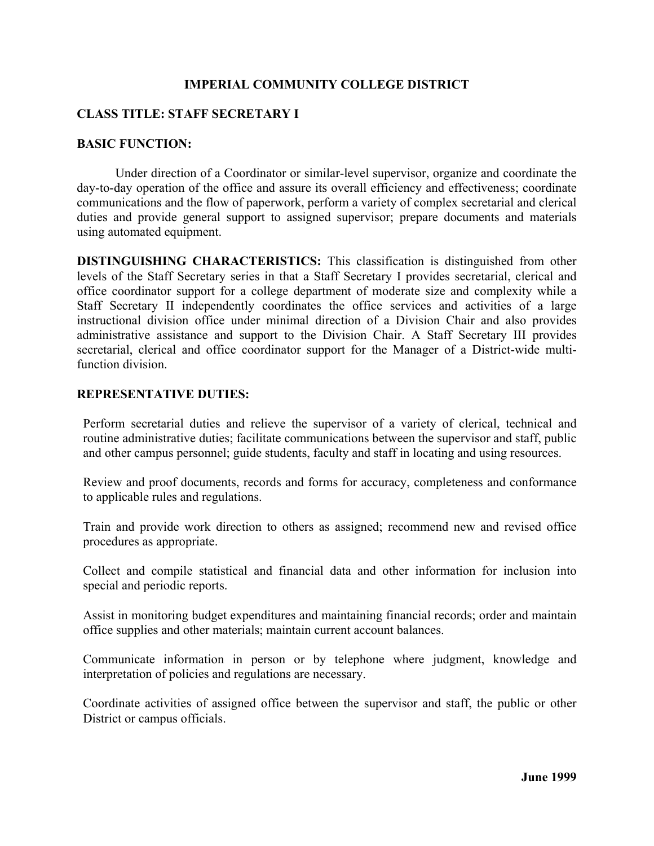## **IMPERIAL COMMUNITY COLLEGE DISTRICT**

## **CLASS TITLE: STAFF SECRETARY I**

## **BASIC FUNCTION:**

 Under direction of a Coordinator or similar-level supervisor, organize and coordinate the day-to-day operation of the office and assure its overall efficiency and effectiveness; coordinate communications and the flow of paperwork, perform a variety of complex secretarial and clerical duties and provide general support to assigned supervisor; prepare documents and materials using automated equipment.

**DISTINGUISHING CHARACTERISTICS:** This classification is distinguished from other levels of the Staff Secretary series in that a Staff Secretary I provides secretarial, clerical and office coordinator support for a college department of moderate size and complexity while a Staff Secretary II independently coordinates the office services and activities of a large instructional division office under minimal direction of a Division Chair and also provides administrative assistance and support to the Division Chair. A Staff Secretary III provides secretarial, clerical and office coordinator support for the Manager of a District-wide multifunction division.

## **REPRESENTATIVE DUTIES:**

Perform secretarial duties and relieve the supervisor of a variety of clerical, technical and routine administrative duties; facilitate communications between the supervisor and staff, public and other campus personnel; guide students, faculty and staff in locating and using resources.

Review and proof documents, records and forms for accuracy, completeness and conformance to applicable rules and regulations.

Train and provide work direction to others as assigned; recommend new and revised office procedures as appropriate.

Collect and compile statistical and financial data and other information for inclusion into special and periodic reports.

Assist in monitoring budget expenditures and maintaining financial records; order and maintain office supplies and other materials; maintain current account balances.

Communicate information in person or by telephone where judgment, knowledge and interpretation of policies and regulations are necessary.

Coordinate activities of assigned office between the supervisor and staff, the public or other District or campus officials.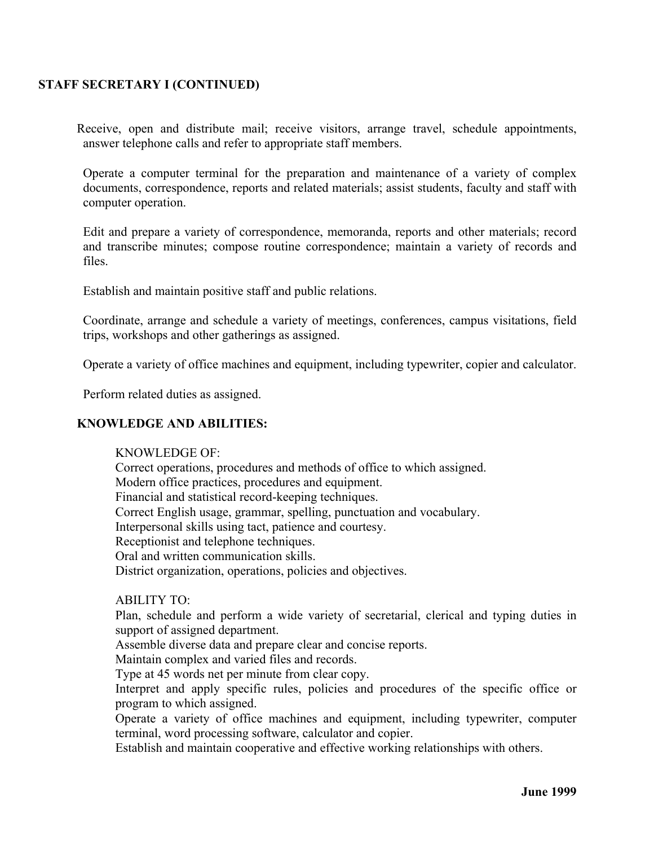## **STAFF SECRETARY I (CONTINUED)**

Receive, open and distribute mail; receive visitors, arrange travel, schedule appointments, answer telephone calls and refer to appropriate staff members.

Operate a computer terminal for the preparation and maintenance of a variety of complex documents, correspondence, reports and related materials; assist students, faculty and staff with computer operation.

Edit and prepare a variety of correspondence, memoranda, reports and other materials; record and transcribe minutes; compose routine correspondence; maintain a variety of records and files.

Establish and maintain positive staff and public relations.

Coordinate, arrange and schedule a variety of meetings, conferences, campus visitations, field trips, workshops and other gatherings as assigned.

Operate a variety of office machines and equipment, including typewriter, copier and calculator.

Perform related duties as assigned.

## **KNOWLEDGE AND ABILITIES:**

#### KNOWLEDGE OF:

 Correct operations, procedures and methods of office to which assigned. Modern office practices, procedures and equipment. Financial and statistical record-keeping techniques. Correct English usage, grammar, spelling, punctuation and vocabulary. Interpersonal skills using tact, patience and courtesy. Receptionist and telephone techniques. Oral and written communication skills. District organization, operations, policies and objectives.

#### ABILITY TO:

Plan, schedule and perform a wide variety of secretarial, clerical and typing duties in support of assigned department.

Assemble diverse data and prepare clear and concise reports.

Maintain complex and varied files and records.

Type at 45 words net per minute from clear copy.

Interpret and apply specific rules, policies and procedures of the specific office or program to which assigned.

Operate a variety of office machines and equipment, including typewriter, computer terminal, word processing software, calculator and copier.

Establish and maintain cooperative and effective working relationships with others.